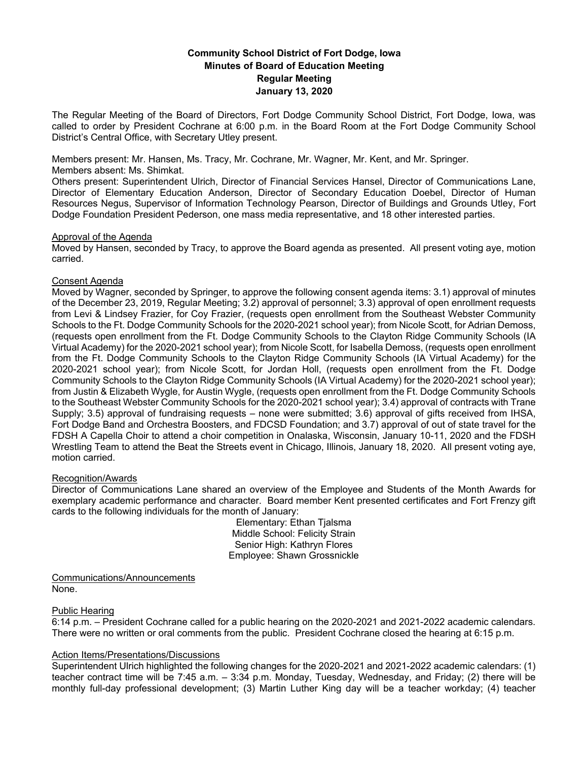# **Community School District of Fort Dodge, Iowa Minutes of Board of Education Meeting Regular Meeting January 13, 2020**

The Regular Meeting of the Board of Directors, Fort Dodge Community School District, Fort Dodge, Iowa, was called to order by President Cochrane at 6:00 p.m. in the Board Room at the Fort Dodge Community School District's Central Office, with Secretary Utley present.

Members present: Mr. Hansen, Ms. Tracy, Mr. Cochrane, Mr. Wagner, Mr. Kent, and Mr. Springer.

## Members absent: Ms. Shimkat.

Others present: Superintendent Ulrich, Director of Financial Services Hansel, Director of Communications Lane, Director of Elementary Education Anderson, Director of Secondary Education Doebel, Director of Human Resources Negus, Supervisor of Information Technology Pearson, Director of Buildings and Grounds Utley, Fort Dodge Foundation President Pederson, one mass media representative, and 18 other interested parties.

# Approval of the Agenda

Moved by Hansen, seconded by Tracy, to approve the Board agenda as presented. All present voting aye, motion carried.

# Consent Agenda

Moved by Wagner, seconded by Springer, to approve the following consent agenda items: 3.1) approval of minutes of the December 23, 2019, Regular Meeting; 3.2) approval of personnel; 3.3) approval of open enrollment requests from Levi & Lindsey Frazier, for Coy Frazier, (requests open enrollment from the Southeast Webster Community Schools to the Ft. Dodge Community Schools for the 2020-2021 school year); from Nicole Scott, for Adrian Demoss, (requests open enrollment from the Ft. Dodge Community Schools to the Clayton Ridge Community Schools (IA Virtual Academy) for the 2020-2021 school year); from Nicole Scott, for Isabella Demoss, (requests open enrollment from the Ft. Dodge Community Schools to the Clayton Ridge Community Schools (IA Virtual Academy) for the 2020-2021 school year); from Nicole Scott, for Jordan Holl, (requests open enrollment from the Ft. Dodge Community Schools to the Clayton Ridge Community Schools (IA Virtual Academy) for the 2020-2021 school year); from Justin & Elizabeth Wygle, for Austin Wygle, (requests open enrollment from the Ft. Dodge Community Schools to the Southeast Webster Community Schools for the 2020-2021 school year); 3.4) approval of contracts with Trane Supply; 3.5) approval of fundraising requests – none were submitted; 3.6) approval of gifts received from IHSA, Fort Dodge Band and Orchestra Boosters, and FDCSD Foundation; and 3.7) approval of out of state travel for the FDSH A Capella Choir to attend a choir competition in Onalaska, Wisconsin, January 10-11, 2020 and the FDSH Wrestling Team to attend the Beat the Streets event in Chicago, Illinois, January 18, 2020. All present voting aye, motion carried.

# Recognition/Awards

Director of Communications Lane shared an overview of the Employee and Students of the Month Awards for exemplary academic performance and character. Board member Kent presented certificates and Fort Frenzy gift cards to the following individuals for the month of January:

Elementary: Ethan Tjalsma Middle School: Felicity Strain Senior High: Kathryn Flores Employee: Shawn Grossnickle

Communications/Announcements None.

# Public Hearing

6:14 p.m. – President Cochrane called for a public hearing on the 2020-2021 and 2021-2022 academic calendars. There were no written or oral comments from the public. President Cochrane closed the hearing at 6:15 p.m.

# Action Items/Presentations/Discussions

Superintendent Ulrich highlighted the following changes for the 2020-2021 and 2021-2022 academic calendars: (1) teacher contract time will be 7:45 a.m. – 3:34 p.m. Monday, Tuesday, Wednesday, and Friday; (2) there will be monthly full-day professional development; (3) Martin Luther King day will be a teacher workday; (4) teacher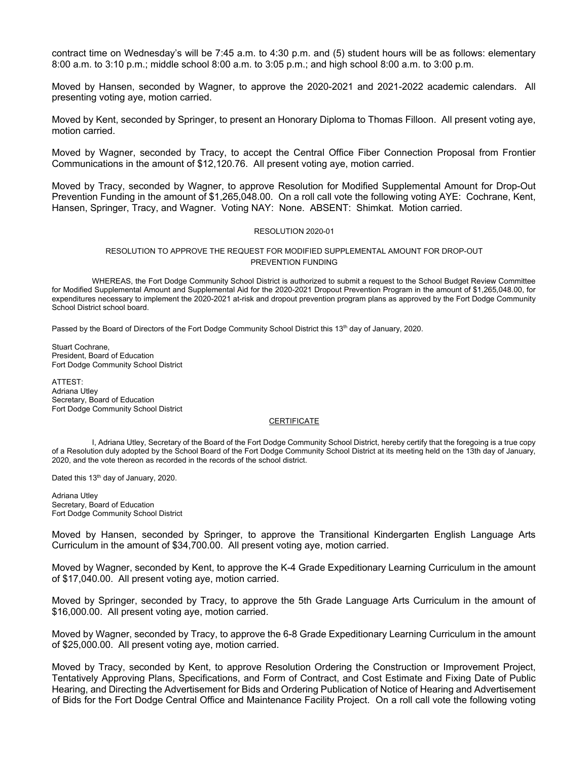contract time on Wednesday's will be 7:45 a.m. to 4:30 p.m. and (5) student hours will be as follows: elementary 8:00 a.m. to 3:10 p.m.; middle school 8:00 a.m. to 3:05 p.m.; and high school 8:00 a.m. to 3:00 p.m.

Moved by Hansen, seconded by Wagner, to approve the 2020-2021 and 2021-2022 academic calendars. All presenting voting aye, motion carried.

Moved by Kent, seconded by Springer, to present an Honorary Diploma to Thomas Filloon. All present voting aye, motion carried.

Moved by Wagner, seconded by Tracy, to accept the Central Office Fiber Connection Proposal from Frontier Communications in the amount of \$12,120.76. All present voting aye, motion carried.

Moved by Tracy, seconded by Wagner, to approve Resolution for Modified Supplemental Amount for Drop-Out Prevention Funding in the amount of \$1,265,048.00. On a roll call vote the following voting AYE: Cochrane, Kent, Hansen, Springer, Tracy, and Wagner. Voting NAY: None. ABSENT: Shimkat. Motion carried.

### RESOLUTION 2020-01

### RESOLUTION TO APPROVE THE REQUEST FOR MODIFIED SUPPLEMENTAL AMOUNT FOR DROP-OUT PREVENTION FUNDING

WHEREAS, the Fort Dodge Community School District is authorized to submit a request to the School Budget Review Committee for Modified Supplemental Amount and Supplemental Aid for the 2020-2021 Dropout Prevention Program in the amount of \$1,265,048.00, for expenditures necessary to implement the 2020-2021 at-risk and dropout prevention program plans as approved by the Fort Dodge Community School District school board.

Passed by the Board of Directors of the Fort Dodge Community School District this 13<sup>th</sup> day of January, 2020.

Stuart Cochrane, President, Board of Education Fort Dodge Community School District

ATTEST: Adriana Utley Secretary, Board of Education Fort Dodge Community School District

### **CERTIFICATE**

I, Adriana Utley, Secretary of the Board of the Fort Dodge Community School District, hereby certify that the foregoing is a true copy of a Resolution duly adopted by the School Board of the Fort Dodge Community School District at its meeting held on the 13th day of January, 2020, and the vote thereon as recorded in the records of the school district.

Dated this 13<sup>th</sup> day of January, 2020.

Adriana Utley Secretary, Board of Education Fort Dodge Community School District

Moved by Hansen, seconded by Springer, to approve the Transitional Kindergarten English Language Arts Curriculum in the amount of \$34,700.00. All present voting aye, motion carried.

Moved by Wagner, seconded by Kent, to approve the K-4 Grade Expeditionary Learning Curriculum in the amount of \$17,040.00. All present voting aye, motion carried.

Moved by Springer, seconded by Tracy, to approve the 5th Grade Language Arts Curriculum in the amount of \$16,000.00. All present voting aye, motion carried.

Moved by Wagner, seconded by Tracy, to approve the 6-8 Grade Expeditionary Learning Curriculum in the amount of \$25,000.00. All present voting aye, motion carried.

Moved by Tracy, seconded by Kent, to approve Resolution Ordering the Construction or Improvement Project, Tentatively Approving Plans, Specifications, and Form of Contract, and Cost Estimate and Fixing Date of Public Hearing, and Directing the Advertisement for Bids and Ordering Publication of Notice of Hearing and Advertisement of Bids for the Fort Dodge Central Office and Maintenance Facility Project. On a roll call vote the following voting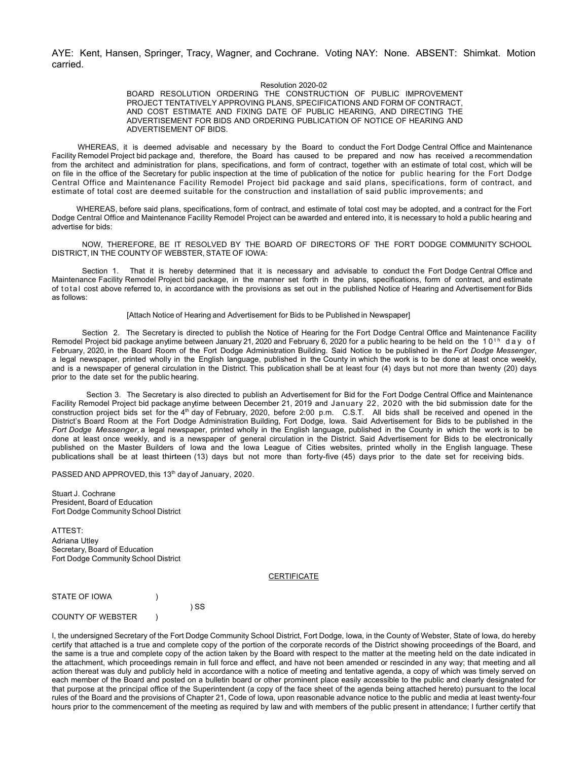AYE: Kent, Hansen, Springer, Tracy, Wagner, and Cochrane. Voting NAY: None. ABSENT: Shimkat. Motion carried.

#### Resolution 2020-02

BOARD RESOLUTION ORDERING THE CONSTRUCTION OF PUBLIC IMPROVEMENT PROJECT TENTATIVELY APPROVING PLANS, SPECIFICATIONS AND FORM OF CONTRACT, AND COST ESTIMATE AND FIXING DATE OF PUBLIC HEARING, AND DIRECTING THE ADVERTISEMENT FOR BIDS AND ORDERING PUBLICATION OF NOTICE OF HEARING AND ADVERTISEMENT OF BIDS.

WHEREAS, it is deemed advisable and necessary by the Board to conduct the Fort Dodge Central Office and Maintenance Facility Remodel Project bid package and, therefore, the Board has caused to be prepared and now has received a recommendation from the architect and administration for plans, specifications, and form of contract, together with an estimate of total cost, which will be on file in the office of the Secretary for public inspection at the time of publication of the notice for public hearing for the Fort Dodge Central Office and Maintenance Facility Remodel Project bid package and said plans, specifications, form of contract, and estimate of total cost are deemed suitable for the construction and installation of said public improvements; and

WHEREAS, before said plans, specifications, form of contract, and estimate of total cost may be adopted, and a contract for the Fort Dodge Central Office and Maintenance Facility Remodel Project can be awarded and entered into, it is necessary to hold a public hearing and advertise for bids:

NOW, THEREFORE, BE IT RESOLVED BY THE BOARD OF DIRECTORS OF THE FORT DODGE COMMUNITY SCHOOL DISTRICT, IN THE COUNTY OF WEBSTER, STATE OF IOWA:

Section 1. That it is hereby determined that it is necessary and advisable to conduct the Fort Dodge Central Office and Maintenance Facility Remodel Project bid package, in the manner set forth in the plans, specifications, form of contract, and estimate of total cost above referred to, in accordance with the provisions as set out in the published Notice of Hearing and Advertisement for Bids as follows:

#### [Attach Notice of Hearing and Advertisement for Bids to be Published in Newspaper]

Section 2. The Secretary is directed to publish the Notice of Hearing for the Fort Dodge Central Office and Maintenance Facility Remodel Project bid package anytime between January 21, 2020 and February 6, 2020 for a public hearing to be held on the 10<sup>th</sup> day of February, 2020, in the Board Room of the Fort Dodge Administration Building. Said Notice to be published in the *Fort Dodge Messenger*, a legal newspaper, printed wholly in the English language, published in the County in which the work is to be done at least once weekly, and is a newspaper of general circulation in the District. This publication shall be at least four (4) days but not more than twenty (20) days prior to the date set for the public hearing.

Section 3. The Secretary is also directed to publish an Advertisement for Bid for the Fort Dodge Central Office and Maintenance Facility Remodel Project bid package anytime between December 21, 2019 and January 22, 2020 with the bid submission date for the construction project bids set for the 4<sup>th</sup> day of February, 2020, before 2:00 p.m. C.S.T. All bids shall be received and opened in the District's Board Room at the Fort Dodge Administration Building, Fort Dodge, Iowa. Said Advertisement for Bids to be published in the *Fort Dodge Messenger,* a legal newspaper, printed wholly in the English language, published in the County in which the work is to be done at least once weekly, and is a newspaper of general circulation in the District. Said Advertisement for Bids to be electronically published on the Master Builders of Iowa and the Iowa League of Cities websites, printed wholly in the English language. These publications shall be at least thirteen (13) days but not more than forty-five (45) days prior to the date set for receiving bids.

PASSED AND APPROVED, this 13<sup>th</sup> day of January, 2020.

) SS

Stuart J. Cochrane President, Board of Education Fort Dodge Community School District

ATTEST: Adriana Utley Secretary, Board of Education Fort Dodge Community School District

### **CERTIFICATE**

| STATE OF IOWA |  |
|---------------|--|
|               |  |

COUNTY OF WEBSTER (1)

I, the undersigned Secretary of the Fort Dodge Community School District, Fort Dodge, Iowa, in the County of Webster, State of Iowa, do hereby certify that attached is a true and complete copy of the portion of the corporate records of the District showing proceedings of the Board, and the same is a true and complete copy of the action taken by the Board with respect to the matter at the meeting held on the date indicated in the attachment, which proceedings remain in full force and effect, and have not been amended or rescinded in any way; that meeting and all action thereat was duly and publicly held in accordance with a notice of meeting and tentative agenda, a copy of which was timely served on each member of the Board and posted on a bulletin board or other prominent place easily accessible to the public and clearly designated for that purpose at the principal office of the Superintendent (a copy of the face sheet of the agenda being attached hereto) pursuant to the local rules of the Board and the provisions of Chapter 21, Code of Iowa, upon reasonable advance notice to the public and media at least twenty-four hours prior to the commencement of the meeting as required by law and with members of the public present in attendance; I further certify that